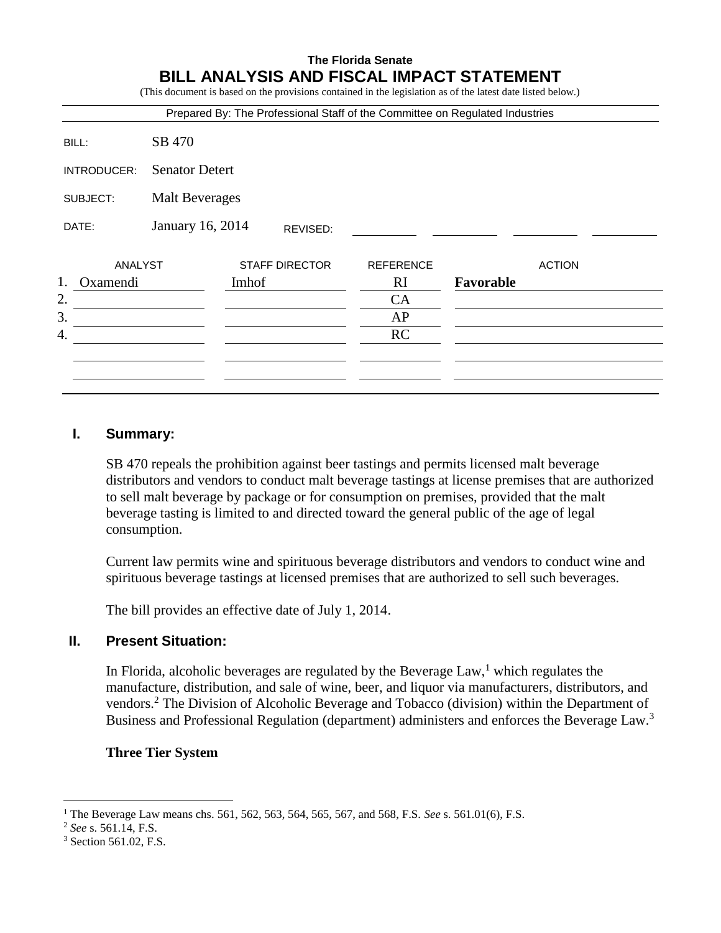# **The Florida Senate BILL ANALYSIS AND FISCAL IMPACT STATEMENT** (This document is based on the provisions contained in the legislation as of the latest date listed below.) Prepared By: The Professional Staff of the Committee on Regulated Industries BILL: SB 470 INTRODUCER: Senator Detert SUBJECT: Malt Beverages DATE: January 16, 2014 ANALYST STAFF DIRECTOR REFERENCE ACTION 1. Oxamendi Imhof RI **Favorable**  $2.$  CA  $3.$  AP 4. RC REVISED:

# **I. Summary:**

SB 470 repeals the prohibition against beer tastings and permits licensed malt beverage distributors and vendors to conduct malt beverage tastings at license premises that are authorized to sell malt beverage by package or for consumption on premises, provided that the malt beverage tasting is limited to and directed toward the general public of the age of legal consumption.

Current law permits wine and spirituous beverage distributors and vendors to conduct wine and spirituous beverage tastings at licensed premises that are authorized to sell such beverages.

The bill provides an effective date of July 1, 2014.

#### **II. Present Situation:**

In Florida, alcoholic beverages are regulated by the Beverage Law,<sup>1</sup> which regulates the manufacture, distribution, and sale of wine, beer, and liquor via manufacturers, distributors, and vendors.<sup>2</sup> The Division of Alcoholic Beverage and Tobacco (division) within the Department of Business and Professional Regulation (department) administers and enforces the Beverage Law.<sup>3</sup>

#### **Three Tier System**

 $\overline{a}$ 

<sup>1</sup> The Beverage Law means chs. 561, 562, 563, 564, 565, 567, and 568, F.S. *See* s. 561.01(6), F.S.

<sup>2</sup> *See* s. 561.14, F.S.

<sup>3</sup> Section 561.02, F.S.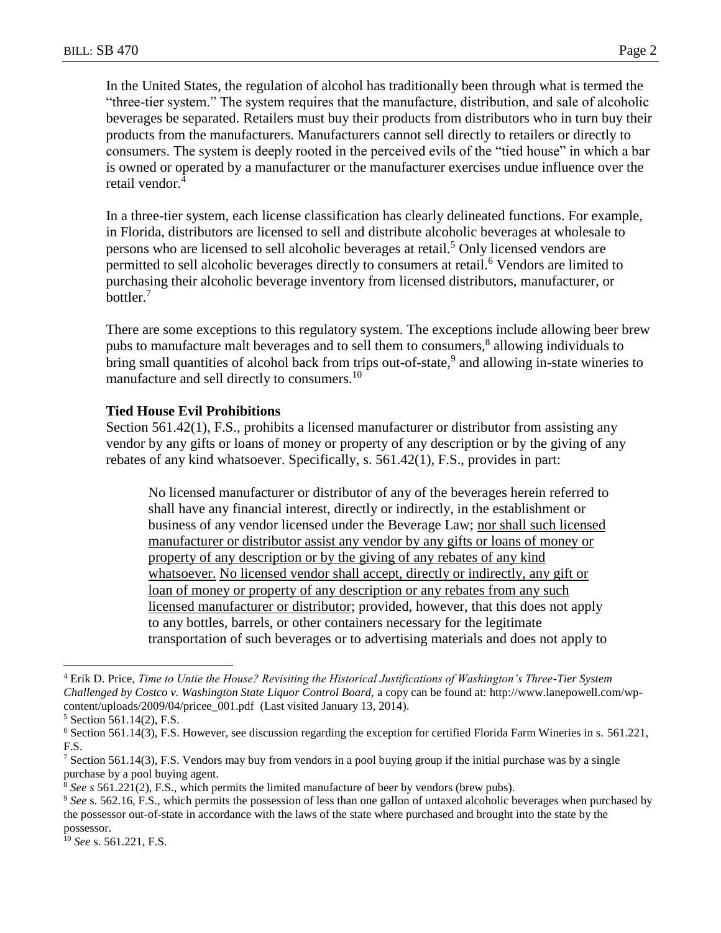In the United States, the regulation of alcohol has traditionally been through what is termed the "three-tier system." The system requires that the manufacture, distribution, and sale of alcoholic beverages be separated. Retailers must buy their products from distributors who in turn buy their products from the manufacturers. Manufacturers cannot sell directly to retailers or directly to consumers. The system is deeply rooted in the perceived evils of the "tied house" in which a bar is owned or operated by a manufacturer or the manufacturer exercises undue influence over the retail vendor.<sup>4</sup>

In a three-tier system, each license classification has clearly delineated functions. For example, in Florida, distributors are licensed to sell and distribute alcoholic beverages at wholesale to persons who are licensed to sell alcoholic beverages at retail.<sup>5</sup> Only licensed vendors are permitted to sell alcoholic beverages directly to consumers at retail.<sup>6</sup> Vendors are limited to purchasing their alcoholic beverage inventory from licensed distributors, manufacturer, or bottler.<sup>7</sup>

There are some exceptions to this regulatory system. The exceptions include allowing beer brew pubs to manufacture malt beverages and to sell them to consumers,<sup>8</sup> allowing individuals to bring small quantities of alcohol back from trips out-of-state,<sup>9</sup> and allowing in-state wineries to manufacture and sell directly to consumers.<sup>10</sup>

#### **Tied House Evil Prohibitions**

Section 561.42(1), F.S., prohibits a licensed manufacturer or distributor from assisting any vendor by any gifts or loans of money or property of any description or by the giving of any rebates of any kind whatsoever. Specifically, s. 561.42(1), F.S., provides in part:

No licensed manufacturer or distributor of any of the beverages herein referred to shall have any financial interest, directly or indirectly, in the establishment or business of any vendor licensed under the Beverage Law; nor shall such licensed manufacturer or distributor assist any vendor by any gifts or loans of money or property of any description or by the giving of any rebates of any kind whatsoever. No licensed vendor shall accept, directly or indirectly, any gift or loan of money or property of any description or any rebates from any such licensed manufacturer or distributor; provided, however, that this does not apply to any bottles, barrels, or other containers necessary for the legitimate transportation of such beverages or to advertising materials and does not apply to

 $\overline{a}$ 

<sup>4</sup> Erik D. Price, *Time to Untie the House? Revisiting the Historical Justifications of Washington's Three-Tier System Challenged by Costco v. Washington State Liquor Control Board,* a copy can be found at: http://www.lanepowell.com/wpcontent/uploads/2009/04/pricee\_001.pdf (Last visited January 13, 2014).

 $5$  Section 561.14(2), F.S.

<sup>6</sup> Section 561.14(3), F.S. However, see discussion regarding the exception for certified Florida Farm Wineries in s. 561.221, F.S.

<sup>&</sup>lt;sup>7</sup> Section 561.14(3), F.S. Vendors may buy from vendors in a pool buying group if the initial purchase was by a single purchase by a pool buying agent.

<sup>8</sup> *See s* 561.221(2), F.S., which permits the limited manufacture of beer by vendors (brew pubs).

<sup>&</sup>lt;sup>9</sup> See s. 562.16, F.S., which permits the possession of less than one gallon of untaxed alcoholic beverages when purchased by the possessor out-of-state in accordance with the laws of the state where purchased and brought into the state by the possessor.

<sup>10</sup> *See* s. 561.221, F.S.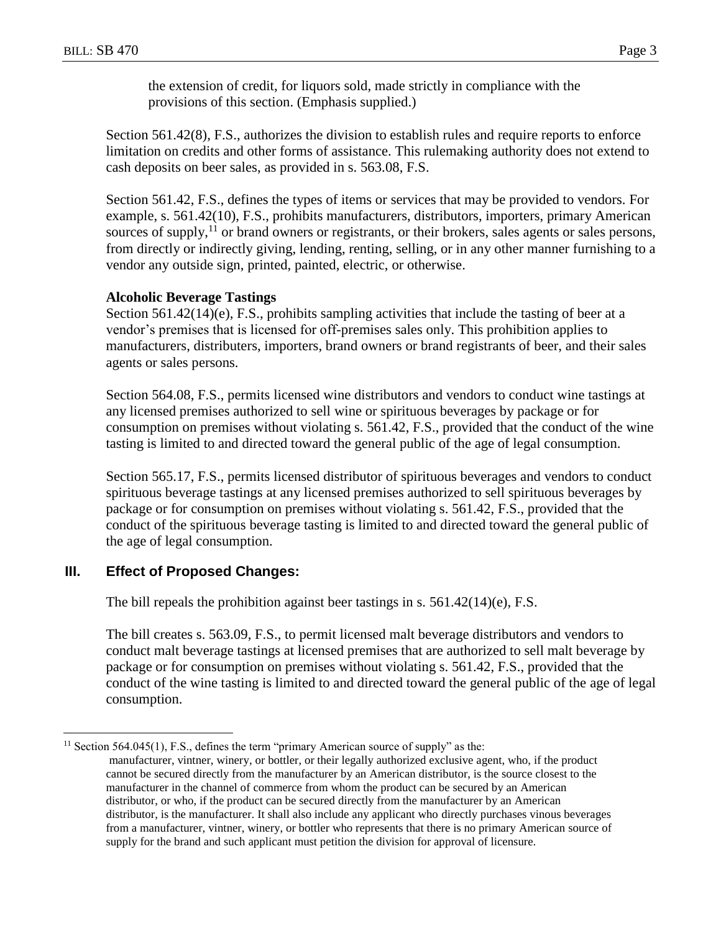the extension of credit, for liquors sold, made strictly in compliance with the provisions of this section. (Emphasis supplied.)

Section 561.42(8), F.S., authorizes the division to establish rules and require reports to enforce limitation on credits and other forms of assistance. This rulemaking authority does not extend to cash deposits on beer sales, as provided in s. 563.08, F.S.

Section 561.42, F.S., defines the types of items or services that may be provided to vendors. For example, s. 561.42(10), F.S., prohibits manufacturers, distributors, importers, primary American sources of supply,<sup>11</sup> or brand owners or registrants, or their brokers, sales agents or sales persons, from directly or indirectly giving, lending, renting, selling, or in any other manner furnishing to a vendor any outside sign, printed, painted, electric, or otherwise.

#### **Alcoholic Beverage Tastings**

Section 561.42(14)(e), F.S., prohibits sampling activities that include the tasting of beer at a vendor's premises that is licensed for off-premises sales only. This prohibition applies to manufacturers, distributers, importers, brand owners or brand registrants of beer, and their sales agents or sales persons.

Section 564.08, F.S., permits licensed wine distributors and vendors to conduct wine tastings at any licensed premises authorized to sell wine or spirituous beverages by package or for consumption on premises without violating s. 561.42, F.S., provided that the conduct of the wine tasting is limited to and directed toward the general public of the age of legal consumption.

Section 565.17, F.S., permits licensed distributor of spirituous beverages and vendors to conduct spirituous beverage tastings at any licensed premises authorized to sell spirituous beverages by package or for consumption on premises without violating s. 561.42, F.S., provided that the conduct of the spirituous beverage tasting is limited to and directed toward the general public of the age of legal consumption.

#### **III. Effect of Proposed Changes:**

 $\overline{a}$ 

The bill repeals the prohibition against beer tastings in s. 561.42(14)(e), F.S.

The bill creates s. 563.09, F.S., to permit licensed malt beverage distributors and vendors to conduct malt beverage tastings at licensed premises that are authorized to sell malt beverage by package or for consumption on premises without violating s. 561.42, F.S., provided that the conduct of the wine tasting is limited to and directed toward the general public of the age of legal consumption.

<sup>&</sup>lt;sup>11</sup> Section 564.045(1), F.S., defines the term "primary American source of supply" as the:

manufacturer, vintner, winery, or bottler, or their legally authorized exclusive agent, who, if the product cannot be secured directly from the manufacturer by an American distributor, is the source closest to the manufacturer in the channel of commerce from whom the product can be secured by an American distributor, or who, if the product can be secured directly from the manufacturer by an American distributor, is the manufacturer. It shall also include any applicant who directly purchases vinous beverages from a manufacturer, vintner, winery, or bottler who represents that there is no primary American source of supply for the brand and such applicant must petition the division for approval of licensure.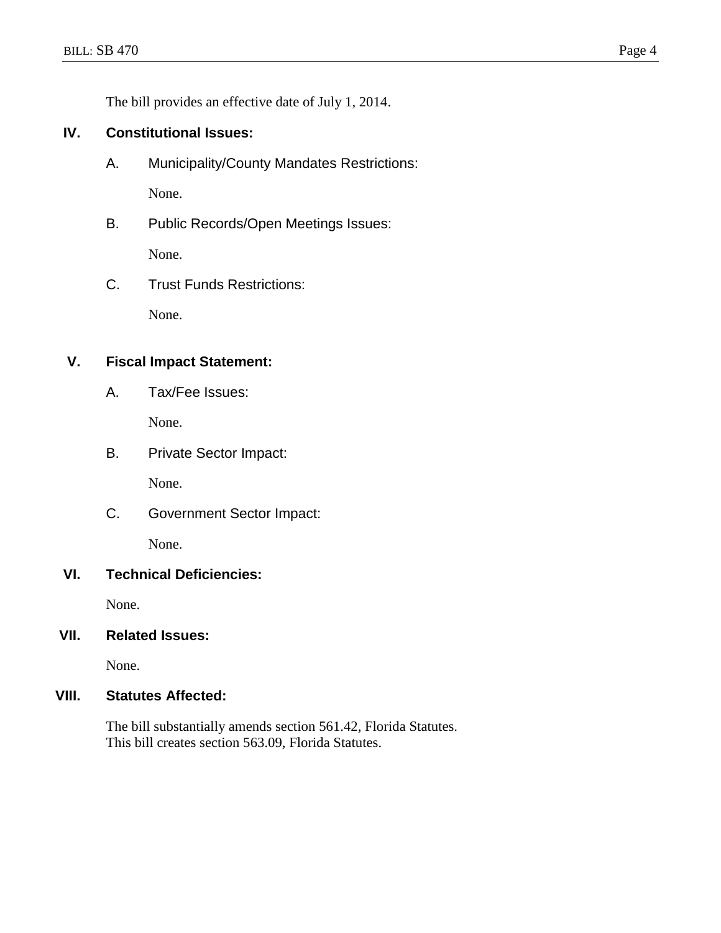The bill provides an effective date of July 1, 2014.

# **IV. Constitutional Issues:**

- A. Municipality/County Mandates Restrictions: None.
- B. Public Records/Open Meetings Issues: None.
- C. Trust Funds Restrictions:

None.

# **V. Fiscal Impact Statement:**

A. Tax/Fee Issues:

None.

B. Private Sector Impact:

None.

C. Government Sector Impact:

None.

## **VI. Technical Deficiencies:**

None.

# **VII. Related Issues:**

None.

# **VIII. Statutes Affected:**

The bill substantially amends section 561.42, Florida Statutes. This bill creates section 563.09, Florida Statutes.